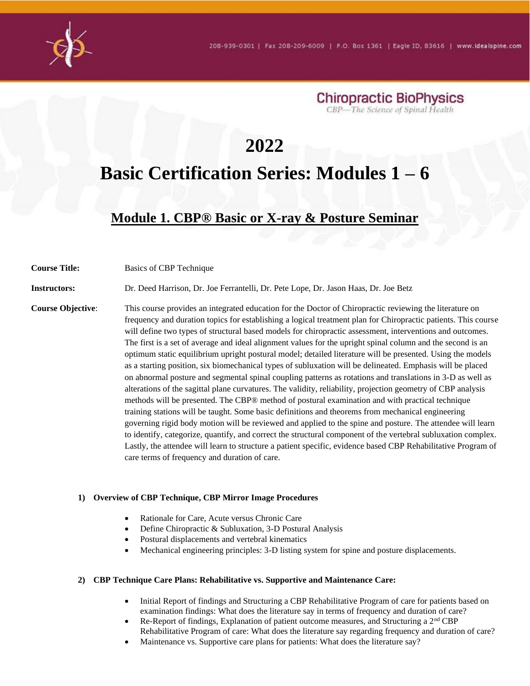



# **2022 Basic Certification Series: Modules 1 – 6**

# **Module 1. CBP® Basic or X-ray & Posture Seminar**

**Course Title:** Basics of CBP Technique

**Instructors:** Dr. Deed Harrison, Dr. Joe Ferrantelli, Dr. Pete Lope, Dr. Jason Haas, Dr. Joe Betz

**Course Objective:** This course provides an integrated education for the Doctor of Chiropractic reviewing the literature on frequency and duration topics for establishing a logical treatment plan for Chiropractic patients. This course will define two types of structural based models for chiropractic assessment, interventions and outcomes. The first is a set of average and ideal alignment values for the upright spinal column and the second is an optimum static equilibrium upright postural model; detailed literature will be presented. Using the models as a starting position, six biomechanical types of subluxation will be delineated. Emphasis will be placed on abnormal posture and segmental spinal coupling patterns as rotations and translations in 3-D as well as alterations of the sagittal plane curvatures. The validity, reliability, projection geometry of CBP analysis methods will be presented. The CBP® method of postural examination and with practical technique training stations will be taught. Some basic definitions and theorems from mechanical engineering governing rigid body motion will be reviewed and applied to the spine and posture. The attendee will learn to identify, categorize, quantify, and correct the structural component of the vertebral subluxation complex. Lastly, the attendee will learn to structure a patient specific, evidence based CBP Rehabilitative Program of care terms of frequency and duration of care.

#### **1) Overview of CBP Technique, CBP Mirror Image Procedures**

- Rationale for Care, Acute versus Chronic Care
- Define Chiropractic & Subluxation, 3-D Postural Analysis
- Postural displacements and vertebral kinematics
- Mechanical engineering principles: 3-D listing system for spine and posture displacements.

#### **2) CBP Technique Care Plans: Rehabilitative vs. Supportive and Maintenance Care:**

- Initial Report of findings and Structuring a CBP Rehabilitative Program of care for patients based on examination findings: What does the literature say in terms of frequency and duration of care?
- Re-Report of findings, Explanation of patient outcome measures, and Structuring a 2nd CBP Rehabilitative Program of care: What does the literature say regarding frequency and duration of care?
- Maintenance vs. Supportive care plans for patients: What does the literature say?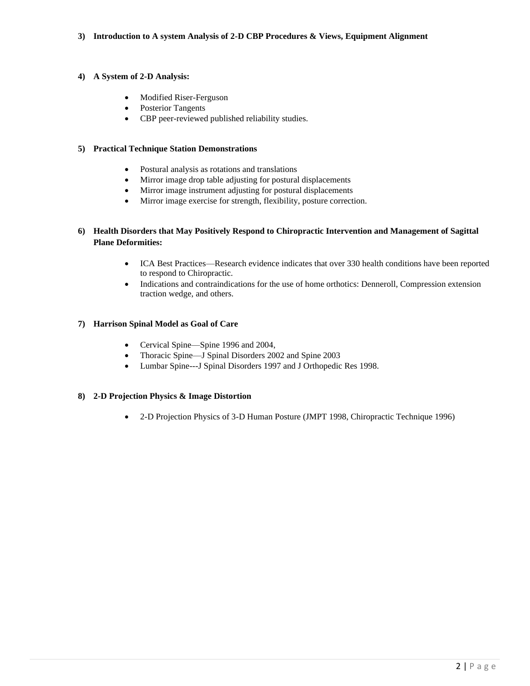### **3) Introduction to A system Analysis of 2-D CBP Procedures & Views, Equipment Alignment**

# **4) A System of 2-D Analysis:**

- Modified Riser-Ferguson
- Posterior Tangents
- CBP peer-reviewed published reliability studies.

# **5) Practical Technique Station Demonstrations**

- Postural analysis as rotations and translations
- Mirror image drop table adjusting for postural displacements
- Mirror image instrument adjusting for postural displacements
- Mirror image exercise for strength, flexibility, posture correction.

# **6) Health Disorders that May Positively Respond to Chiropractic Intervention and Management of Sagittal Plane Deformities:**

- ICA Best Practices—Research evidence indicates that over 330 health conditions have been reported to respond to Chiropractic.
- Indications and contraindications for the use of home orthotics: Denneroll, Compression extension traction wedge, and others.

# **7) Harrison Spinal Model as Goal of Care**

- Cervical Spine—Spine 1996 and 2004,
- Thoracic Spine—J Spinal Disorders 2002 and Spine 2003
- Lumbar Spine---J Spinal Disorders 1997 and J Orthopedic Res 1998.

### **8) 2-D Projection Physics & Image Distortion**

• 2-D Projection Physics of 3-D Human Posture (JMPT 1998, Chiropractic Technique 1996)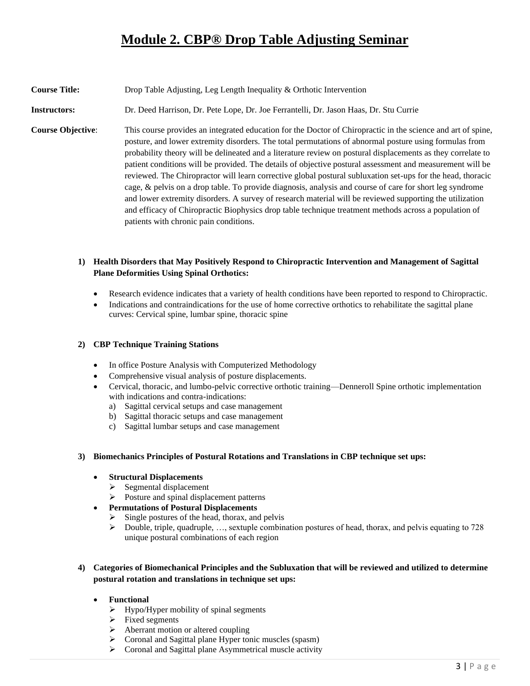# **Module 2. CBP® Drop Table Adjusting Seminar**

# **Course Title:** Drop Table Adjusting, Leg Length Inequality & Orthotic Intervention

**Instructors:** Dr. Deed Harrison, Dr. Pete Lope, Dr. Joe Ferrantelli, Dr. Jason Haas, Dr. Stu Currie

**Course Objective**: This course provides an integrated education for the Doctor of Chiropractic in the science and art of spine, posture, and lower extremity disorders. The total permutations of abnormal posture using formulas from probability theory will be delineated and a literature review on postural displacements as they correlate to patient conditions will be provided. The details of objective postural assessment and measurement will be reviewed. The Chiropractor will learn corrective global postural subluxation set-ups for the head, thoracic cage, & pelvis on a drop table. To provide diagnosis, analysis and course of care for short leg syndrome and lower extremity disorders. A survey of research material will be reviewed supporting the utilization and efficacy of Chiropractic Biophysics drop table technique treatment methods across a population of patients with chronic pain conditions.

# **1) Health Disorders that May Positively Respond to Chiropractic Intervention and Management of Sagittal Plane Deformities Using Spinal Orthotics:**

- Research evidence indicates that a variety of health conditions have been reported to respond to Chiropractic.
- Indications and contraindications for the use of home corrective orthotics to rehabilitate the sagittal plane curves: Cervical spine, lumbar spine, thoracic spine

### **2) CBP Technique Training Stations**

- In office Posture Analysis with Computerized Methodology
- Comprehensive visual analysis of posture displacements.
- Cervical, thoracic, and lumbo-pelvic corrective orthotic training—Denneroll Spine orthotic implementation with indications and contra-indications:
	- a) Sagittal cervical setups and case management
	- b) Sagittal thoracic setups and case management
	- c) Sagittal lumbar setups and case management

### **3) Biomechanics Principles of Postural Rotations and Translations in CBP technique set ups:**

### • **Structural Displacements**

- ➢ Segmental displacement
- ➢ Posture and spinal displacement patterns
- **Permutations of Postural Displacements**
	- $\triangleright$  Single postures of the head, thorax, and pelvis
	- $\triangleright$  Double, triple, quadruple, ..., sextuple combination postures of head, thorax, and pelvis equating to 728 unique postural combinations of each region

# **4) Categories of Biomechanical Principles and the Subluxation that will be reviewed and utilized to determine postural rotation and translations in technique set ups:**

- **Functional**
	- $\triangleright$  Hypo/Hyper mobility of spinal segments
	- $\triangleright$  Fixed segments
	- ➢ Aberrant motion or altered coupling
	- ➢ Coronal and Sagittal plane Hyper tonic muscles (spasm)
	- ➢ Coronal and Sagittal plane Asymmetrical muscle activity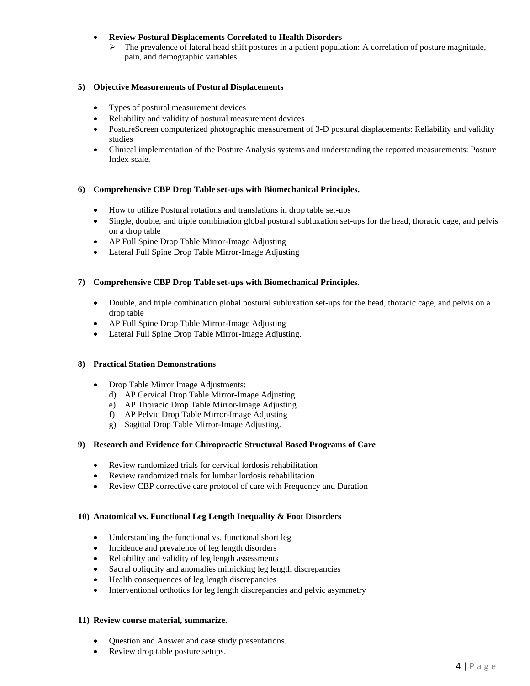# • **Review Postural Displacements Correlated to Health Disorders**

➢ The prevalence of lateral head shift postures in a patient population: A correlation of posture magnitude, pain, and demographic variables.

### **5) Objective Measurements of Postural Displacements**

- Types of postural measurement devices
- Reliability and validity of postural measurement devices
- PostureScreen computerized photographic measurement of 3-D postural displacements: Reliability and validity studies
- Clinical implementation of the Posture Analysis systems and understanding the reported measurements: Posture Index scale.

### **6) Comprehensive CBP Drop Table set-ups with Biomechanical Principles.**

- How to utilize Postural rotations and translations in drop table set-ups
- Single, double, and triple combination global postural subluxation set-ups for the head, thoracic cage, and pelvis on a drop table
- AP Full Spine Drop Table Mirror-Image Adjusting
- Lateral Full Spine Drop Table Mirror-Image Adjusting

### **7) Comprehensive CBP Drop Table set-ups with Biomechanical Principles.**

- Double, and triple combination global postural subluxation set-ups for the head, thoracic cage, and pelvis on a drop table
- AP Full Spine Drop Table Mirror-Image Adjusting
- Lateral Full Spine Drop Table Mirror-Image Adjusting.

#### **8) Practical Station Demonstrations**

- Drop Table Mirror Image Adjustments:
	- d) AP Cervical Drop Table Mirror-Image Adjusting
	- e) AP Thoracic Drop Table Mirror-Image Adjusting
	- f) AP Pelvic Drop Table Mirror-Image Adjusting
	- g) Sagittal Drop Table Mirror-Image Adjusting.

#### **9) Research and Evidence for Chiropractic Structural Based Programs of Care**

- Review randomized trials for cervical lordosis rehabilitation
- Review randomized trials for lumbar lordosis rehabilitation
- Review CBP corrective care protocol of care with Frequency and Duration

#### **10) Anatomical vs. Functional Leg Length Inequality & Foot Disorders**

- Understanding the functional vs. functional short leg
- Incidence and prevalence of leg length disorders
- Reliability and validity of leg length assessments
- Sacral obliquity and anomalies mimicking leg length discrepancies
- Health consequences of leg length discrepancies
- Interventional orthotics for leg length discrepancies and pelvic asymmetry

#### **11) Review course material, summarize.**

- Question and Answer and case study presentations.
- Review drop table posture setups.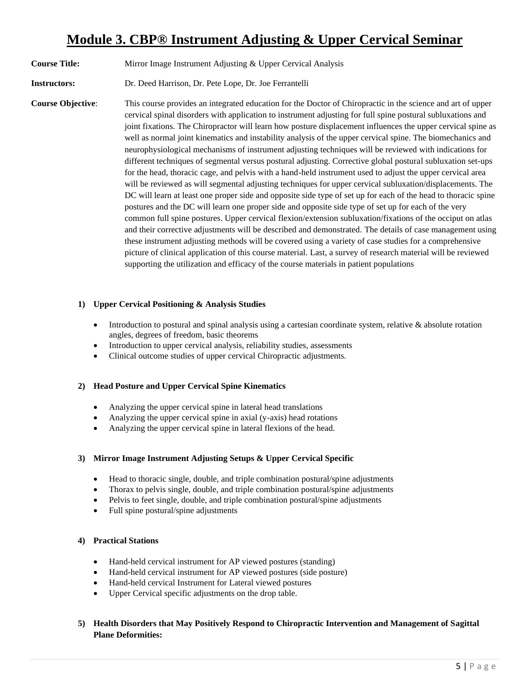# **Module 3. CBP® Instrument Adjusting & Upper Cervical Seminar**

**Course Title:** Mirror Image Instrument Adjusting & Upper Cervical Analysis

**Instructors:** Dr. Deed Harrison, Dr. Pete Lope, Dr. Joe Ferrantelli

**Course Objective**: This course provides an integrated education for the Doctor of Chiropractic in the science and art of upper cervical spinal disorders with application to instrument adjusting for full spine postural subluxations and joint fixations. The Chiropractor will learn how posture displacement influences the upper cervical spine as well as normal joint kinematics and instability analysis of the upper cervical spine. The biomechanics and neurophysiological mechanisms of instrument adjusting techniques will be reviewed with indications for different techniques of segmental versus postural adjusting. Corrective global postural subluxation set-ups for the head, thoracic cage, and pelvis with a hand-held instrument used to adjust the upper cervical area will be reviewed as will segmental adjusting techniques for upper cervical subluxation/displacements. The DC will learn at least one proper side and opposite side type of set up for each of the head to thoracic spine postures and the DC will learn one proper side and opposite side type of set up for each of the very common full spine postures. Upper cervical flexion/extension subluxation/fixations of the occiput on atlas and their corrective adjustments will be described and demonstrated. The details of case management using these instrument adjusting methods will be covered using a variety of case studies for a comprehensive picture of clinical application of this course material. Last, a survey of research material will be reviewed supporting the utilization and efficacy of the course materials in patient populations

### **1) Upper Cervical Positioning & Analysis Studies**

- Introduction to postural and spinal analysis using a cartesian coordinate system, relative & absolute rotation angles, degrees of freedom, basic theorems
- Introduction to upper cervical analysis, reliability studies, assessments
- Clinical outcome studies of upper cervical Chiropractic adjustments.

### **2) Head Posture and Upper Cervical Spine Kinematics**

- Analyzing the upper cervical spine in lateral head translations
- Analyzing the upper cervical spine in axial (y-axis) head rotations
- Analyzing the upper cervical spine in lateral flexions of the head.

### **3) Mirror Image Instrument Adjusting Setups & Upper Cervical Specific**

- Head to thoracic single, double, and triple combination postural/spine adjustments
- Thorax to pelvis single, double, and triple combination postural/spine adjustments
- Pelvis to feet single, double, and triple combination postural/spine adjustments
- Full spine postural/spine adjustments

### **4) Practical Stations**

- Hand-held cervical instrument for AP viewed postures (standing)
- Hand-held cervical instrument for AP viewed postures (side posture)
- Hand-held cervical Instrument for Lateral viewed postures
- Upper Cervical specific adjustments on the drop table.
- **5) Health Disorders that May Positively Respond to Chiropractic Intervention and Management of Sagittal Plane Deformities:**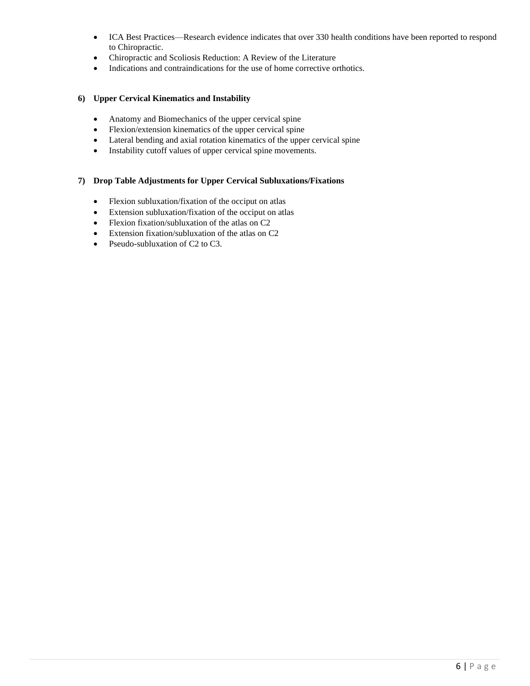- ICA Best Practices—Research evidence indicates that over 330 health conditions have been reported to respond to Chiropractic.
- Chiropractic and Scoliosis Reduction: A Review of the Literature
- Indications and contraindications for the use of home corrective orthotics.

### **6) Upper Cervical Kinematics and Instability**

- Anatomy and Biomechanics of the upper cervical spine
- Flexion/extension kinematics of the upper cervical spine
- Lateral bending and axial rotation kinematics of the upper cervical spine
- Instability cutoff values of upper cervical spine movements.

# **7) Drop Table Adjustments for Upper Cervical Subluxations/Fixations**

- Flexion subluxation/fixation of the occiput on atlas
- Extension subluxation/fixation of the occiput on atlas
- Flexion fixation/subluxation of the atlas on C2
- Extension fixation/subluxation of the atlas on C2
- Pseudo-subluxation of C2 to C3.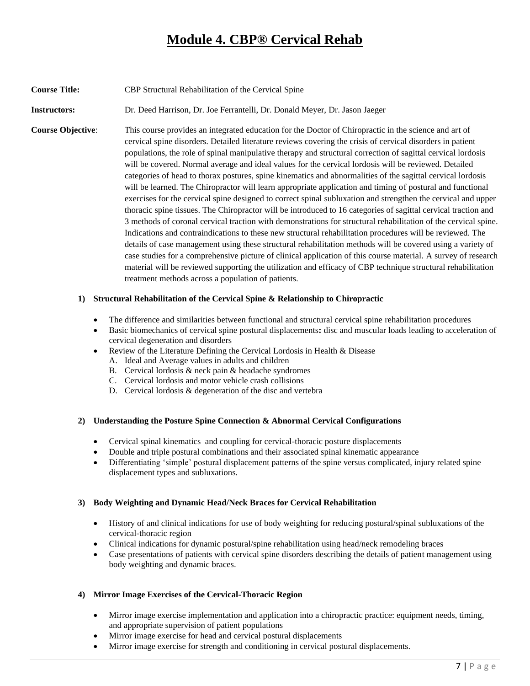# **Module 4. CBP® Cervical Rehab**

**Course Title:** CBP Structural Rehabilitation of the Cervical Spine

**Instructors:** Dr. Deed Harrison, Dr. Joe Ferrantelli, Dr. Donald Meyer, Dr. Jason Jaeger

**Course Objective:** This course provides an integrated education for the Doctor of Chiropractic in the science and art of cervical spine disorders. Detailed literature reviews covering the crisis of cervical disorders in patient populations, the role of spinal manipulative therapy and structural correction of sagittal cervical lordosis will be covered. Normal average and ideal values for the cervical lordosis will be reviewed. Detailed categories of head to thorax postures, spine kinematics and abnormalities of the sagittal cervical lordosis will be learned. The Chiropractor will learn appropriate application and timing of postural and functional exercises for the cervical spine designed to correct spinal subluxation and strengthen the cervical and upper thoracic spine tissues. The Chiropractor will be introduced to 16 categories of sagittal cervical traction and 3 methods of coronal cervical traction with demonstrations for structural rehabilitation of the cervical spine. Indications and contraindications to these new structural rehabilitation procedures will be reviewed. The details of case management using these structural rehabilitation methods will be covered using a variety of case studies for a comprehensive picture of clinical application of this course material. A survey of research material will be reviewed supporting the utilization and efficacy of CBP technique structural rehabilitation treatment methods across a population of patients.

# **1) Structural Rehabilitation of the Cervical Spine & Relationship to Chiropractic**

- The difference and similarities between functional and structural cervical spine rehabilitation procedures
- Basic biomechanics of cervical spine postural displacements**:** disc and muscular loads leading to acceleration of cervical degeneration and disorders
- Review of the Literature Defining the Cervical Lordosis in Health & Disease
	- A. Ideal and Average values in adults and children
	- B. Cervical lordosis & neck pain & headache syndromes
	- C. Cervical lordosis and motor vehicle crash collisions
	- D. Cervical lordosis & degeneration of the disc and vertebra

### **2) Understanding the Posture Spine Connection & Abnormal Cervical Configurations**

- Cervical spinal kinematics and coupling for cervical-thoracic posture displacements
- Double and triple postural combinations and their associated spinal kinematic appearance
- Differentiating 'simple' postural displacement patterns of the spine versus complicated, injury related spine displacement types and subluxations.

### **3) Body Weighting and Dynamic Head/Neck Braces for Cervical Rehabilitation**

- History of and clinical indications for use of body weighting for reducing postural/spinal subluxations of the cervical-thoracic region
- Clinical indications for dynamic postural/spine rehabilitation using head/neck remodeling braces
- Case presentations of patients with cervical spine disorders describing the details of patient management using body weighting and dynamic braces.

### **4) Mirror Image Exercises of the Cervical-Thoracic Region**

- Mirror image exercise implementation and application into a chiropractic practice: equipment needs, timing, and appropriate supervision of patient populations
- Mirror image exercise for head and cervical postural displacements
- Mirror image exercise for strength and conditioning in cervical postural displacements.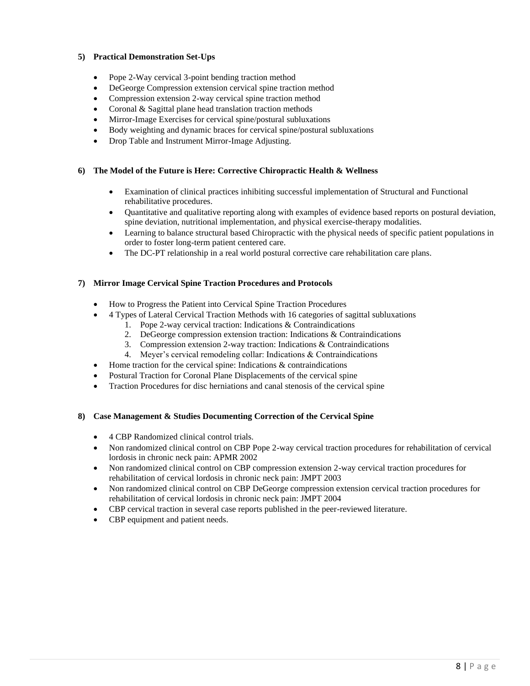# **5) Practical Demonstration Set-Ups**

- Pope 2-Way cervical 3-point bending traction method
- DeGeorge Compression extension cervical spine traction method
- Compression extension 2-way cervical spine traction method
- Coronal & Sagittal plane head translation traction methods
- Mirror-Image Exercises for cervical spine/postural subluxations
- Body weighting and dynamic braces for cervical spine/postural subluxations
- Drop Table and Instrument Mirror-Image Adjusting.

### **6) The Model of the Future is Here: Corrective Chiropractic Health & Wellness**

- Examination of clinical practices inhibiting successful implementation of Structural and Functional rehabilitative procedures.
- Quantitative and qualitative reporting along with examples of evidence based reports on postural deviation, spine deviation, nutritional implementation, and physical exercise-therapy modalities.
- Learning to balance structural based Chiropractic with the physical needs of specific patient populations in order to foster long-term patient centered care.
- The DC-PT relationship in a real world postural corrective care rehabilitation care plans.

### **7) Mirror Image Cervical Spine Traction Procedures and Protocols**

- How to Progress the Patient into Cervical Spine Traction Procedures
- 4 Types of Lateral Cervical Traction Methods with 16 categories of sagittal subluxations
	- 1. Pope 2-way cervical traction: Indications & Contraindications
	- 2. DeGeorge compression extension traction: Indications & Contraindications
	- 3. Compression extension 2-way traction: Indications & Contraindications
	- 4. Meyer's cervical remodeling collar: Indications & Contraindications
- Home traction for the cervical spine: Indications & contraindications
- Postural Traction for Coronal Plane Displacements of the cervical spine
- Traction Procedures for disc herniations and canal stenosis of the cervical spine

### **8) Case Management & Studies Documenting Correction of the Cervical Spine**

- 4 CBP Randomized clinical control trials.
- Non randomized clinical control on CBP Pope 2-way cervical traction procedures for rehabilitation of cervical lordosis in chronic neck pain: APMR 2002
- Non randomized clinical control on CBP compression extension 2-way cervical traction procedures for rehabilitation of cervical lordosis in chronic neck pain: JMPT 2003
- Non randomized clinical control on CBP DeGeorge compression extension cervical traction procedures for rehabilitation of cervical lordosis in chronic neck pain: JMPT 2004
- CBP cervical traction in several case reports published in the peer-reviewed literature.
- CBP equipment and patient needs.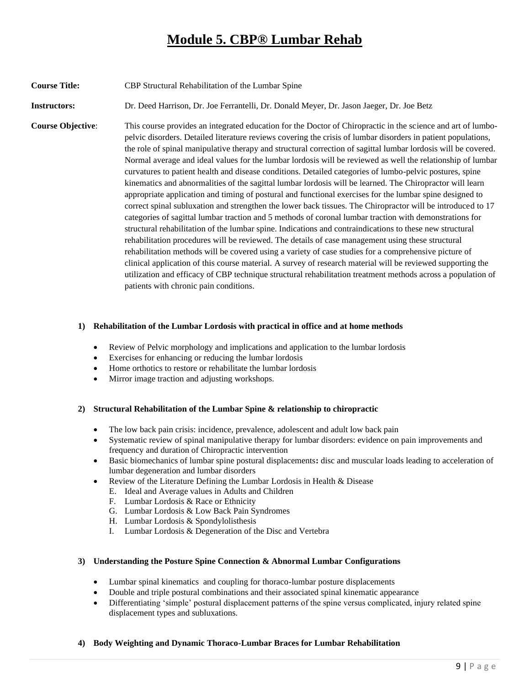# **Module 5. CBP® Lumbar Rehab**

**Course Title:** CBP Structural Rehabilitation of the Lumbar Spine

**Instructors:** Dr. Deed Harrison, Dr. Joe Ferrantelli, Dr. Donald Meyer, Dr. Jason Jaeger, Dr. Joe Betz

**Course Objective:** This course provides an integrated education for the Doctor of Chiropractic in the science and art of lumbopelvic disorders. Detailed literature reviews covering the crisis of lumbar disorders in patient populations, the role of spinal manipulative therapy and structural correction of sagittal lumbar lordosis will be covered. Normal average and ideal values for the lumbar lordosis will be reviewed as well the relationship of lumbar curvatures to patient health and disease conditions. Detailed categories of lumbo-pelvic postures, spine kinematics and abnormalities of the sagittal lumbar lordosis will be learned. The Chiropractor will learn appropriate application and timing of postural and functional exercises for the lumbar spine designed to correct spinal subluxation and strengthen the lower back tissues. The Chiropractor will be introduced to 17 categories of sagittal lumbar traction and 5 methods of coronal lumbar traction with demonstrations for structural rehabilitation of the lumbar spine. Indications and contraindications to these new structural rehabilitation procedures will be reviewed. The details of case management using these structural rehabilitation methods will be covered using a variety of case studies for a comprehensive picture of clinical application of this course material. A survey of research material will be reviewed supporting the utilization and efficacy of CBP technique structural rehabilitation treatment methods across a population of patients with chronic pain conditions.

### **1) Rehabilitation of the Lumbar Lordosis with practical in office and at home methods**

- Review of Pelvic morphology and implications and application to the lumbar lordosis
- Exercises for enhancing or reducing the lumbar lordosis
- Home orthotics to restore or rehabilitate the lumbar lordosis
- Mirror image traction and adjusting workshops.

### **2) Structural Rehabilitation of the Lumbar Spine & relationship to chiropractic**

- The low back pain crisis: incidence, prevalence, adolescent and adult low back pain
- Systematic review of spinal manipulative therapy for lumbar disorders: evidence on pain improvements and frequency and duration of Chiropractic intervention
- Basic biomechanics of lumbar spine postural displacements**:** disc and muscular loads leading to acceleration of lumbar degeneration and lumbar disorders
- Review of the Literature Defining the Lumbar Lordosis in Health & Disease
	- E. Ideal and Average values in Adults and Children
	- F. Lumbar Lordosis & Race or Ethnicity
	- G. Lumbar Lordosis & Low Back Pain Syndromes
	- H. Lumbar Lordosis & Spondylolisthesis
	- I. Lumbar Lordosis & Degeneration of the Disc and Vertebra

### **3) Understanding the Posture Spine Connection & Abnormal Lumbar Configurations**

- Lumbar spinal kinematics and coupling for thoraco-lumbar posture displacements
- Double and triple postural combinations and their associated spinal kinematic appearance
- Differentiating 'simple' postural displacement patterns of the spine versus complicated, injury related spine displacement types and subluxations.
- **4) Body Weighting and Dynamic Thoraco-Lumbar Braces for Lumbar Rehabilitation**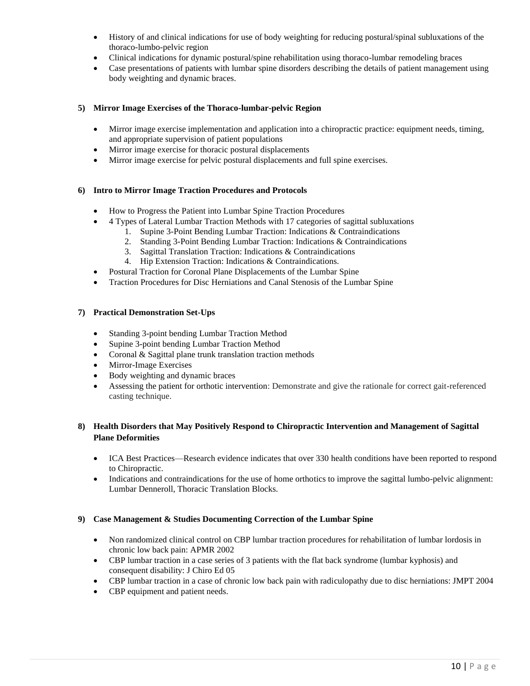- History of and clinical indications for use of body weighting for reducing postural/spinal subluxations of the thoraco-lumbo-pelvic region
- Clinical indications for dynamic postural/spine rehabilitation using thoraco-lumbar remodeling braces
- Case presentations of patients with lumbar spine disorders describing the details of patient management using body weighting and dynamic braces.

### **5) Mirror Image Exercises of the Thoraco-lumbar-pelvic Region**

- Mirror image exercise implementation and application into a chiropractic practice: equipment needs, timing, and appropriate supervision of patient populations
- Mirror image exercise for thoracic postural displacements
- Mirror image exercise for pelvic postural displacements and full spine exercises.

### **6) Intro to Mirror Image Traction Procedures and Protocols**

- How to Progress the Patient into Lumbar Spine Traction Procedures
- 4 Types of Lateral Lumbar Traction Methods with 17 categories of sagittal subluxations
	- 1. Supine 3-Point Bending Lumbar Traction: Indications & Contraindications
	- 2. Standing 3-Point Bending Lumbar Traction: Indications & Contraindications
	- 3. Sagittal Translation Traction: Indications & Contraindications
	- 4. Hip Extension Traction: Indications & Contraindications.
- Postural Traction for Coronal Plane Displacements of the Lumbar Spine
- Traction Procedures for Disc Herniations and Canal Stenosis of the Lumbar Spine

### **7) Practical Demonstration Set-Ups**

- Standing 3-point bending Lumbar Traction Method
- Supine 3-point bending Lumbar Traction Method
- Coronal & Sagittal plane trunk translation traction methods
- Mirror-Image Exercises
- Body weighting and dynamic braces
- Assessing the patient for orthotic intervention: Demonstrate and give the rationale for correct gait-referenced casting technique.

# **8) Health Disorders that May Positively Respond to Chiropractic Intervention and Management of Sagittal Plane Deformities**

- ICA Best Practices—Research evidence indicates that over 330 health conditions have been reported to respond to Chiropractic.
- Indications and contraindications for the use of home orthotics to improve the sagittal lumbo-pelvic alignment: Lumbar Denneroll, Thoracic Translation Blocks.

### **9) Case Management & Studies Documenting Correction of the Lumbar Spine**

- Non randomized clinical control on CBP lumbar traction procedures for rehabilitation of lumbar lordosis in chronic low back pain: APMR 2002
- CBP lumbar traction in a case series of 3 patients with the flat back syndrome (lumbar kyphosis) and consequent disability: J Chiro Ed 05
- CBP lumbar traction in a case of chronic low back pain with radiculopathy due to disc herniations: JMPT 2004
- CBP equipment and patient needs.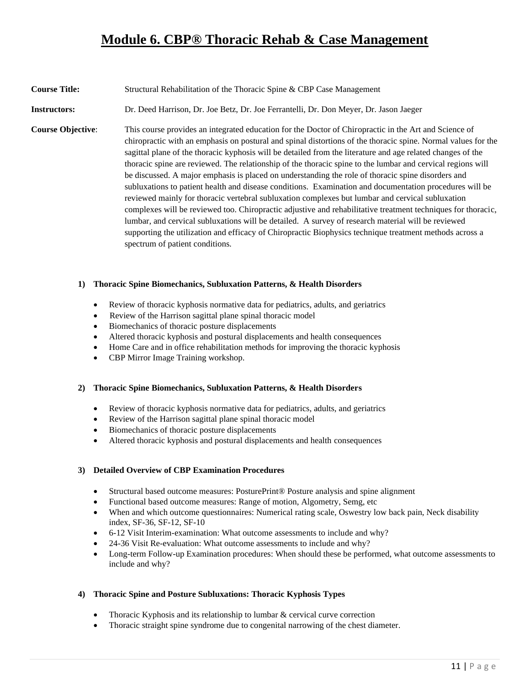# **Module 6. CBP® Thoracic Rehab & Case Management**

### **Course Title:** Structural Rehabilitation of the Thoracic Spine & CBP Case Management

**Instructors:** Dr. Deed Harrison, Dr. Joe Betz, Dr. Joe Ferrantelli, Dr. Don Meyer, Dr. Jason Jaeger

**Course Objective**: This course provides an integrated education for the Doctor of Chiropractic in the Art and Science of chiropractic with an emphasis on postural and spinal distortions of the thoracic spine. Normal values for the sagittal plane of the thoracic kyphosis will be detailed from the literature and age related changes of the thoracic spine are reviewed. The relationship of the thoracic spine to the lumbar and cervical regions will be discussed. A major emphasis is placed on understanding the role of thoracic spine disorders and subluxations to patient health and disease conditions. Examination and documentation procedures will be reviewed mainly for thoracic vertebral subluxation complexes but lumbar and cervical subluxation complexes will be reviewed too. Chiropractic adjustive and rehabilitative treatment techniques for thoracic, lumbar, and cervical subluxations will be detailed. A survey of research material will be reviewed supporting the utilization and efficacy of Chiropractic Biophysics technique treatment methods across a spectrum of patient conditions.

### **1) Thoracic Spine Biomechanics, Subluxation Patterns, & Health Disorders**

- Review of thoracic kyphosis normative data for pediatrics, adults, and geriatrics
- Review of the Harrison sagittal plane spinal thoracic model
- Biomechanics of thoracic posture displacements
- Altered thoracic kyphosis and postural displacements and health consequences
- Home Care and in office rehabilitation methods for improving the thoracic kyphosis
- CBP Mirror Image Training workshop.

### **2) Thoracic Spine Biomechanics, Subluxation Patterns, & Health Disorders**

- Review of thoracic kyphosis normative data for pediatrics, adults, and geriatrics
- Review of the Harrison sagittal plane spinal thoracic model
- Biomechanics of thoracic posture displacements
- Altered thoracic kyphosis and postural displacements and health consequences

### **3) Detailed Overview of CBP Examination Procedures**

- Structural based outcome measures: PosturePrint® Posture analysis and spine alignment
- Functional based outcome measures: Range of motion, Algometry, Semg, etc
- When and which outcome questionnaires: Numerical rating scale, Oswestry low back pain, Neck disability index, SF-36, SF-12, SF-10
- 6-12 Visit Interim-examination: What outcome assessments to include and why?
- 24-36 Visit Re-evaluation: What outcome assessments to include and why?
- Long-term Follow-up Examination procedures: When should these be performed, what outcome assessments to include and why?

### **4) Thoracic Spine and Posture Subluxations: Thoracic Kyphosis Types**

- Thoracic Kyphosis and its relationship to lumbar & cervical curve correction
- Thoracic straight spine syndrome due to congenital narrowing of the chest diameter.